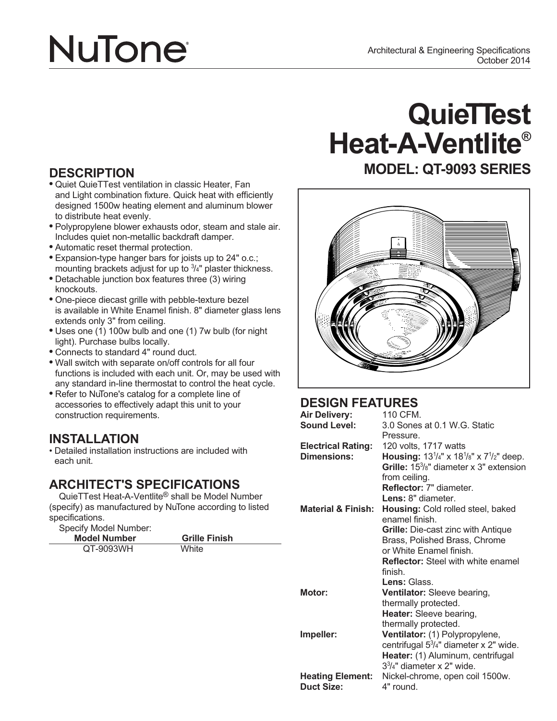# **NuTone**

- and Light combination fixture. Quick heat with efficiently designed 1500w heating element and aluminum blower to distribute heat evenly.
- **•** Polypropylene blower exhausts odor, steam and stale air. Includes quiet non-metallic backdraft damper.
- **•** Automatic reset thermal protection.
- **•** Expansion-type hanger bars for joists up to 24" o.c.; mounting brackets adjust for up to  $3/4"$  plaster thickness.
- **•** Detachable junction box features three (3) wiring knockouts.
- **•** One-piece diecast grille with pebble-texture bezel is available in White Enamel finish. 8" diameter glass lens extends only 3" from ceiling.
- **•** Uses one (1) 100w bulb and one (1) 7w bulb (for night light). Purchase bulbs locally.
- **•** Connects to standard 4" round duct.
- **•** Wall switch with separate on/off controls for all four functions is included with each unit. Or, may be used with any standard in-line thermostat to control the heat cycle.
- **•** Refer to NuTone's catalog for a complete line of accessories to effectively adapt this unit to your construction requirements.

### **INSTALLATION**

• Detailed installation instructions are included with each unit.

### **ARCHITECT'S SPECIFICATIONS**

QuieTTest Heat-A-Ventlite® shall be Model Number (specify) as manufactured by NuTone according to listed specifications.

Specify Model Number:

| Model Number | <b>Grille Finish</b> |
|--------------|----------------------|
| QT-9093WH    | White                |

## **QuieTTest Heat-A-Ventlite®**

### **DESCRIPTION MODEL: QT-9093 SERIES •** Quiet QuieTTest ventilation in classic Heater, Fan



### **DESIGN FEATURES**

| <b>Air Delivery:</b>      | 110 CFM.                                                        |
|---------------------------|-----------------------------------------------------------------|
| <b>Sound Level:</b>       | 3.0 Sones at 0.1 W.G. Static                                    |
|                           | Pressure.                                                       |
| <b>Electrical Rating:</b> | 120 volts, 1717 watts                                           |
| Dimensions:               | <b>Housing:</b> $13^{1/4}$ " x $18^{1/8}$ " x $7^{1/2}$ " deep. |
|                           | Grille: $15\frac{3}{8}$ " diameter x 3" extension               |
|                           | from ceiling.                                                   |
|                           | <b>Reflector: 7" diameter.</b>                                  |
|                           | Lens: 8" diameter.                                              |
| Material & Finish: .      | Housing: Cold rolled steel, baked                               |
|                           | enamel finish                                                   |
|                           | <b>Grille:</b> Die-cast zinc with Antique                       |
|                           | Brass, Polished Brass, Chrome                                   |
|                           | or White Enamel finish.                                         |
|                           | <b>Reflector:</b> Steel with white enamel                       |
|                           | finish.                                                         |
|                           | Lens: Glass.                                                    |
| Motor:                    | <b>Ventilator:</b> Sleeve bearing,                              |
|                           | thermally protected.                                            |
|                           | Heater: Sleeve bearing,                                         |
|                           | thermally protected.                                            |
| Impeller:                 | Ventilator: (1) Polypropylene,                                  |
|                           | centrifugal $5\frac{3}{4}$ " diameter x 2" wide.                |
|                           | Heater: (1) Aluminum, centrifugal                               |
|                           | $33/4"$ diameter x 2" wide.                                     |
| <b>Heating Element:</b>   | Nickel-chrome, open coil 1500w.                                 |
| <b>Duct Size:</b>         | 4" round.                                                       |
|                           |                                                                 |